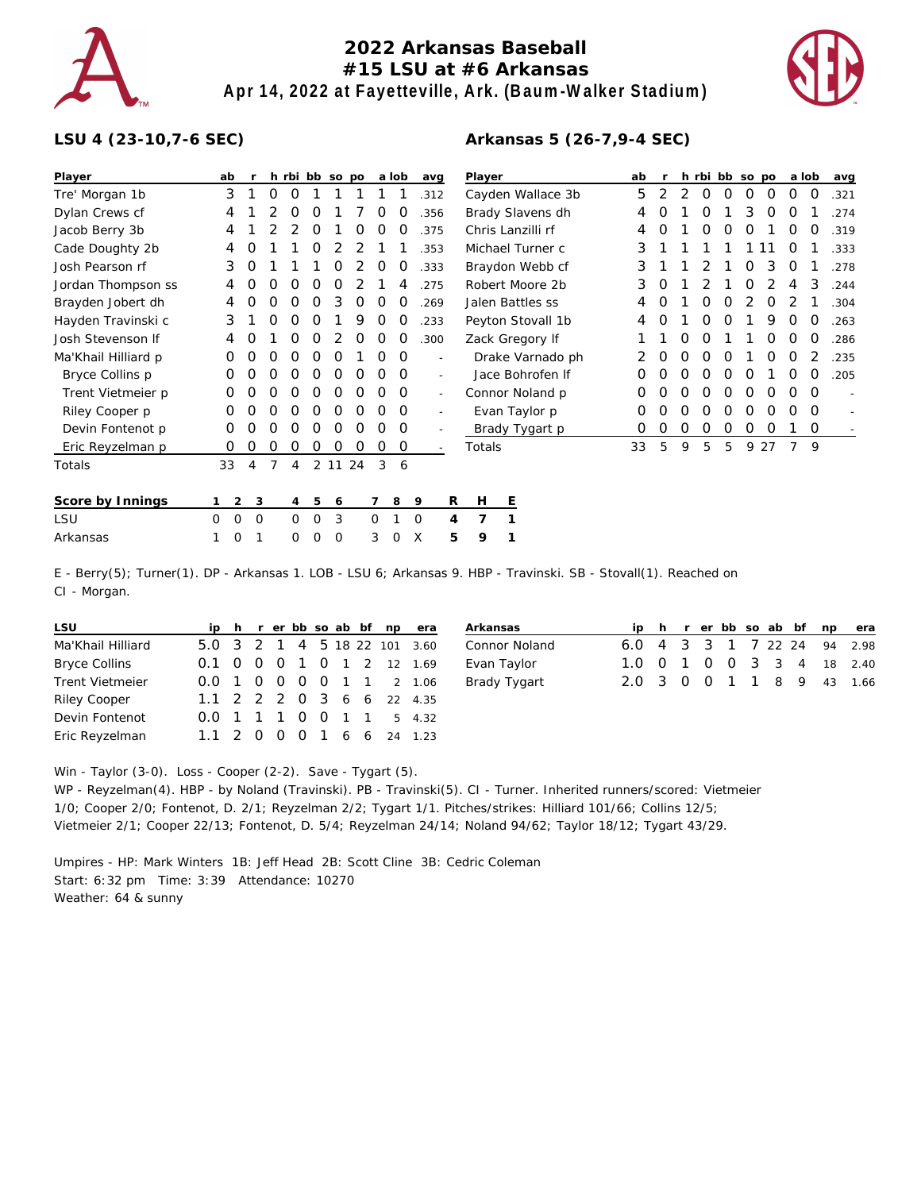

## **2022 Arkansas Baseball #15 LSU at #6 Arkansas Apr 14, 2022 at Fayetteville, Ark. (Baum-Walker Stadium)**

**Arkansas 5 (26-7,9-4 SEC)**



## **LSU 4 (23-10,7-6 SEC)**

| Player              | ab               |                     |   |         |         | h rbi bb so po |    |          | a lob | avg  |                          | Player            | ab |   |   |   | h rbi bb so po |   |          | a lob            |          | avg  |
|---------------------|------------------|---------------------|---|---------|---------|----------------|----|----------|-------|------|--------------------------|-------------------|----|---|---|---|----------------|---|----------|------------------|----------|------|
|                     | 3                |                     | 0 | 0       |         |                |    |          |       |      |                          |                   | 5  | 2 | 2 | 0 | 0              | 0 | 0        | 0                | 0        |      |
| Tre' Morgan 1b      |                  |                     |   |         |         |                |    |          |       | .312 |                          | Cayden Wallace 3b |    |   |   |   |                |   |          |                  |          | .321 |
| Dylan Crews cf      | 4                |                     |   | Ο       | Ο       |                |    | O        | O     | .356 |                          | Brady Slavens dh  | 4  | Ο |   | Ο |                | 3 | O        | Ω                |          | .274 |
| Jacob Berry 3b      | 4                |                     |   |         | Ο       |                | Ω  | Ω        | Ο     | .375 |                          | Chris Lanzilli rf | 4  | 0 |   | Ο | O              | 0 |          | $\mathcal{L}$    | O        | .319 |
| Cade Doughty 2b     | 4                | Ο                   |   |         | ი       |                |    |          |       | 353  |                          | Michael Turner c  | 3  |   |   |   |                |   |          | $\left( \right)$ |          | .333 |
| Josh Pearson rf     | 3                | 0                   |   |         |         | 0              |    | O        | O     | .333 |                          | Braydon Webb cf   | 3  |   |   |   |                | Ο | 3        | O                |          | 278  |
| Jordan Thompson ss  | 4                | O                   | O | Ο       | O       | O              |    |          | 4     | .275 |                          | Robert Moore 2b   | 3  | O |   |   |                | Ο |          |                  | 3        | .244 |
| Brayden Jobert dh   | 4                | Ο                   | 0 | Ο       | Ω       | 3              | Ο  | Ο        | O     | .269 |                          | Jalen Battles ss  | 4  | Ο |   | Ω | Ω              |   | O        |                  |          | .304 |
| Hayden Travinski c  | 3                |                     | O | Ο       | 0       |                | 9  | Ο        | 0     | .233 |                          | Peyton Stovall 1b | 4  | Ο |   | Ο | O              |   | 9        | O                | $\Omega$ | .263 |
| Josh Stevenson If   | 4                | Ο                   |   | Ο       | Ο       |                | Ο  | Ο        | O     | .300 |                          | Zack Gregory If   |    |   | Ο | O |                |   | Ω        | O                | O        | .286 |
| Ma'Khail Hilliard p | 0                | O                   | O | 0       | 0       | 0              |    | Ο        | O     |      | $\overline{\phantom{a}}$ | Drake Varnado ph  |    | 0 | 0 | 0 | O              |   | Ο        | O                |          | 235  |
| Bryce Collins p     | 0                | ი                   | ი | Ο       | Ο       | 0              | Ο  | ი        | O     |      | $\sim$                   | Jace Bohrofen If  | O  | Ω | Ο | Ω | Ω              |   |          | 0                | O        | 205  |
| Trent Vietmeier p   | 0                | O                   | O | O       | 0       | 0              | 0  | O        | 0     |      | $\sim$                   | Connor Noland p   | 0  | O | O | O | O              | 0 | $\Omega$ | O                | $\Omega$ |      |
| Riley Cooper p      | 0                | 0                   | 0 | Ο       | O       | O              | 0  | O        | 0     |      | $\overline{a}$           | Evan Taylor p     | 0  | Ο | O | Ω | Ω              | O | Ω        | Ω                | O        |      |
| Devin Fontenot p    | 0                | Ο                   | 0 | Ω       | ი       | ი              | Ο  | Ω        | O     |      |                          | Brady Tygart p    | O  | 0 | 0 | 0 | 0              | 0 | O        |                  | 0        |      |
| Eric Reyzelman p    | 0                | O                   | O | 0       | Ο       | ი              | Ο  | Ο        | 0     |      |                          | Totals            | 33 | 5 | 9 | 5 | 5              | 9 | 27       | 7                | 9        |      |
| Totals              | 33               | $\overline{4}$      | 7 | 4       | 2       | 11             | 24 | 3        | 6     |      |                          |                   |    |   |   |   |                |   |          |                  |          |      |
| Score by Innings    |                  | 3<br>$\overline{2}$ |   | 4       | 5       | 6              |    |          | 8     | 9    | R                        | H<br>Ε            |    |   |   |   |                |   |          |                  |          |      |
| LSU                 | $\mathbf 0$<br>0 | $\Omega$            |   | $\circ$ | $\circ$ | 3              |    | $\Omega$ |       | 0    | 4                        | 7<br>1            |    |   |   |   |                |   |          |                  |          |      |
| Arkansas            |                  | 0                   |   | 0       | O       | 0              |    | 3        | Ω     | X    | 5                        | 9<br>1            |    |   |   |   |                |   |          |                  |          |      |

E - Berry(5); Turner(1). DP - Arkansas 1. LOB - LSU 6; Arkansas 9. HBP - Travinski. SB - Stovall(1). Reached on CI - Morgan.

| LSU                    |  |  |  |  | ip h r er bb so ab bf np era |
|------------------------|--|--|--|--|------------------------------|
| Ma'Khail Hilliard      |  |  |  |  | 5.0 3 2 1 4 5 18 22 101 3.60 |
| <b>Bryce Collins</b>   |  |  |  |  | 0.1 0 0 0 1 0 1 2 12 1.69    |
| <b>Trent Vietmeier</b> |  |  |  |  | 0.0 1 0 0 0 0 1 1 2 1.06     |
| Riley Cooper           |  |  |  |  | 1.1 2 2 2 0 3 6 6 22 4.35    |
| Devin Fontenot         |  |  |  |  | 0.0 1 1 1 0 0 1 1 5 4.32     |
| Eric Reyzelman         |  |  |  |  | 1.1 2 0 0 0 1 6 6 24 1.23    |

| Arkansas      |  |  |  |  | ip h r er bb so ab bf np era |
|---------------|--|--|--|--|------------------------------|
| Connor Noland |  |  |  |  | 6.0 4 3 3 1 7 22 24 94 2.98  |
| Evan Taylor   |  |  |  |  | 1.0 0 1 0 0 3 3 4 18 2.40    |
| Brady Tygart  |  |  |  |  | 2.0 3 0 0 1 1 8 9 43 1.66    |

Win - Taylor (3-0). Loss - Cooper (2-2). Save - Tygart (5).

WP - Reyzelman(4). HBP - by Noland (Travinski). PB - Travinski(5). CI - Turner. Inherited runners/scored: Vietmeier 1/0; Cooper 2/0; Fontenot, D. 2/1; Reyzelman 2/2; Tygart 1/1. Pitches/strikes: Hilliard 101/66; Collins 12/5; Vietmeier 2/1; Cooper 22/13; Fontenot, D. 5/4; Reyzelman 24/14; Noland 94/62; Taylor 18/12; Tygart 43/29.

Umpires - HP: Mark Winters 1B: Jeff Head 2B: Scott Cline 3B: Cedric Coleman Start: 6:32 pm Time: 3:39 Attendance: 10270 Weather: 64 & sunny